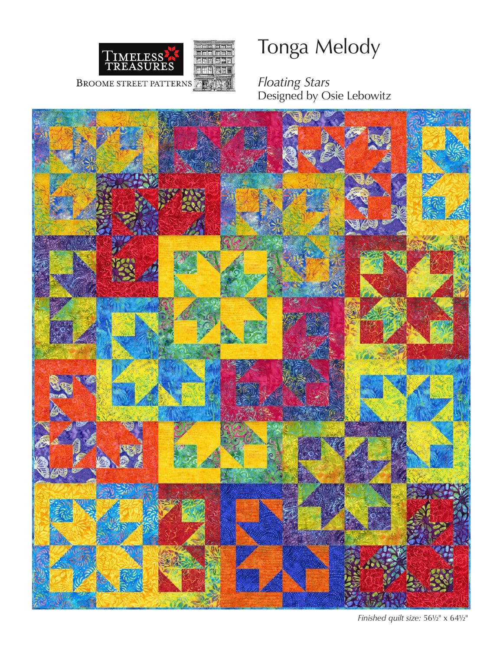

# Tonga Melody

*Floating Stars*  Designed by Osie Lebowitz



*Finished quilt size:* 56½" x 64½"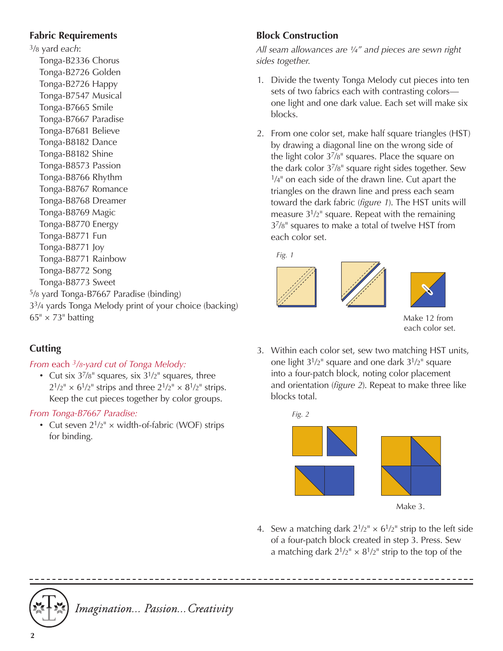#### **Fabric Requirements**

3/8 yard *each*: Tonga-B2336 Chorus Tonga-B2726 Golden Tonga-B2726 Happy Tonga-B7547 Musical Tonga-B7665 Smile Tonga-B7667 Paradise Tonga-B7681 Believe Tonga-B8182 Dance Tonga-B8182 Shine Tonga-B8573 Passion Tonga-B8766 Rhythm Tonga-B8767 Romance Tonga-B8768 Dreamer Tonga-B8769 Magic Tonga-B8770 Energy Tonga-B8771 Fun Tonga-B8771 Joy Tonga-B8771 Rainbow Tonga-B8772 Song Tonga-B8773 Sweet 5/8 yard Tonga-B7667 Paradise (binding) 33/4 yards Tonga Melody print of your choice (backing)  $65'' \times 73''$  batting

## **Cutting**

#### *From* each *3/8-yard cut of Tonga Melody:*

• Cut six  $3^{7}/8$ " squares, six  $3^{1}/2$ " squares, three  $2^{1/2^{n}} \times 6^{1/2^{n}}$  strips and three  $2^{1/2^{n}} \times 8^{1/2^{n}}$  strips. Keep the cut pieces together by color groups.

#### *From Tonga-B7667 Paradise:*

• Cut seven  $2^{1/2^{n}} \times$  width-of-fabric (WOF) strips for binding.

## **Block Construction**

*All seam allowances are ¼" and pieces are sewn right sides together.*

- 1. Divide the twenty Tonga Melody cut pieces into ten sets of two fabrics each with contrasting colors one light and one dark value. Each set will make six blocks.
- 2. From one color set, make half square triangles (HST) by drawing a diagonal line on the wrong side of the light color 37/8" squares. Place the square on the dark color 37/8" square right sides together. Sew  $1/4$ " on each side of the drawn line. Cut apart the triangles on the drawn line and press each seam toward the dark fabric (*figure 1*). The HST units will measure  $3^{1}/2$ " square. Repeat with the remaining 37/8" squares to make a total of twelve HST from each color set.

*Fig. 1*





Make 12 from each color set.

3. Within each color set, sew two matching HST units, one light  $3^{1}/2$ " square and one dark  $3^{1}/2$ " square into a four-patch block, noting color placement and orientation (*figure 2*). Repeat to make three like blocks total.



4. Sew a matching dark  $2^{1/2^{n}} \times 6^{1/2^{n}}$  strip to the left side of a four-patch block created in step 3. Press. Sew a matching dark  $2^{1/2} \times 8^{1/2}$  strip to the top of the



Imagination... Passion... Creativity